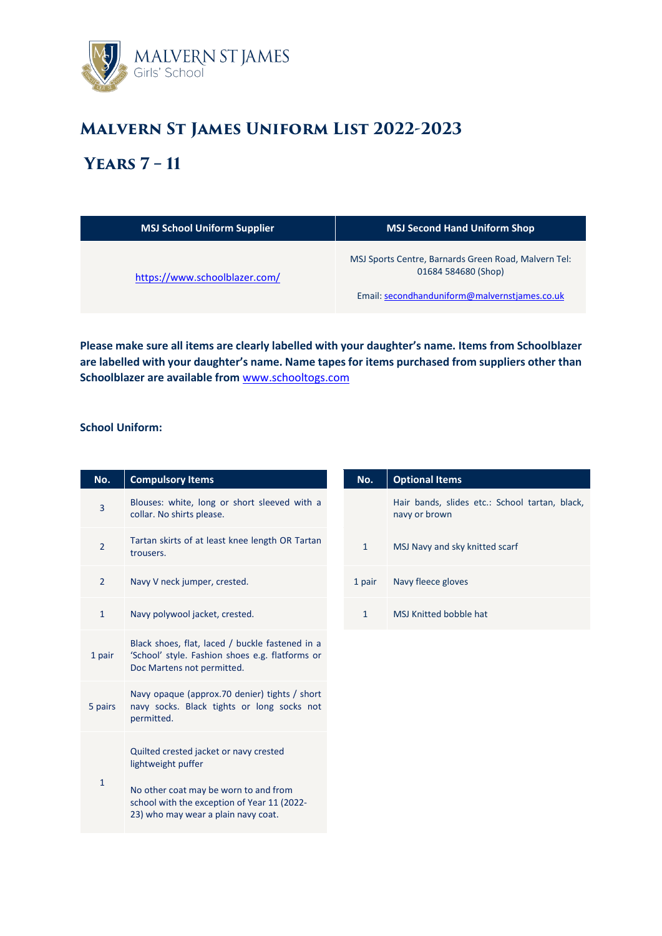

# **Malvern St James Uniform List 2022-2023**

## **Years 7 – 11**

| <b>MSJ School Uniform Supplier</b> | <b>MSJ Second Hand Uniform Shop</b>                                                                                          |
|------------------------------------|------------------------------------------------------------------------------------------------------------------------------|
| https://www.schoolblazer.com/      | MSJ Sports Centre, Barnards Green Road, Malvern Tel:<br>01684 584680 (Shop)<br>Email: secondhanduniform@malvernstjames.co.uk |

**Please make sure all items are clearly labelled with your daughter's name. Items from Schoolblazer are labelled with your daughter's name. Name tapes for items purchased from suppliers other than Schoolblazer are available from** [www.schooltogs.com](http://www.schooltogs.com/)

### **School Uniform:**

| No.            | <b>Compulsory Items</b>                                                                                                          | No.          | <b>Optional Items</b>                           |
|----------------|----------------------------------------------------------------------------------------------------------------------------------|--------------|-------------------------------------------------|
| $\overline{3}$ | Blouses: white, long or short sleeved with a<br>collar. No shirts please.                                                        |              | Hair bands, slides etc.: Schoc<br>navy or brown |
| $\overline{2}$ | Tartan skirts of at least knee length OR Tartan<br>trousers.                                                                     | $\mathbf{1}$ | MSJ Navy and sky knitted scarf                  |
| $\overline{2}$ | Navy V neck jumper, crested.                                                                                                     | 1 pair       | Navy fleece gloves                              |
| $\mathbf{1}$   | Navy polywool jacket, crested.                                                                                                   | $\mathbf{1}$ | <b>MSJ Knitted bobble hat</b>                   |
| 1 pair         | Black shoes, flat, laced / buckle fastened in a<br>'School' style. Fashion shoes e.g. flatforms or<br>Doc Martens not permitted. |              |                                                 |
| 5 pairs        | Navy opaque (approx.70 denier) tights / short<br>navy socks. Black tights or long socks not<br>permitted.                        |              |                                                 |
| 1              | Quilted crested jacket or navy crested<br>lightweight puffer<br>No other coat may be worn to and from                            |              |                                                 |
|                | school with the exception of Year 11 (2022-<br>23) who may wear a plain navy coat.                                               |              |                                                 |

| No.          | <b>Optional Items</b>                                           |  |  |
|--------------|-----------------------------------------------------------------|--|--|
|              | Hair bands, slides etc.: School tartan, black,<br>navy or brown |  |  |
| $\mathbf{1}$ | MSJ Navy and sky knitted scarf                                  |  |  |
| 1 pair       | Navy fleece gloves                                              |  |  |
| 1            | MSI Knitted bobble hat                                          |  |  |